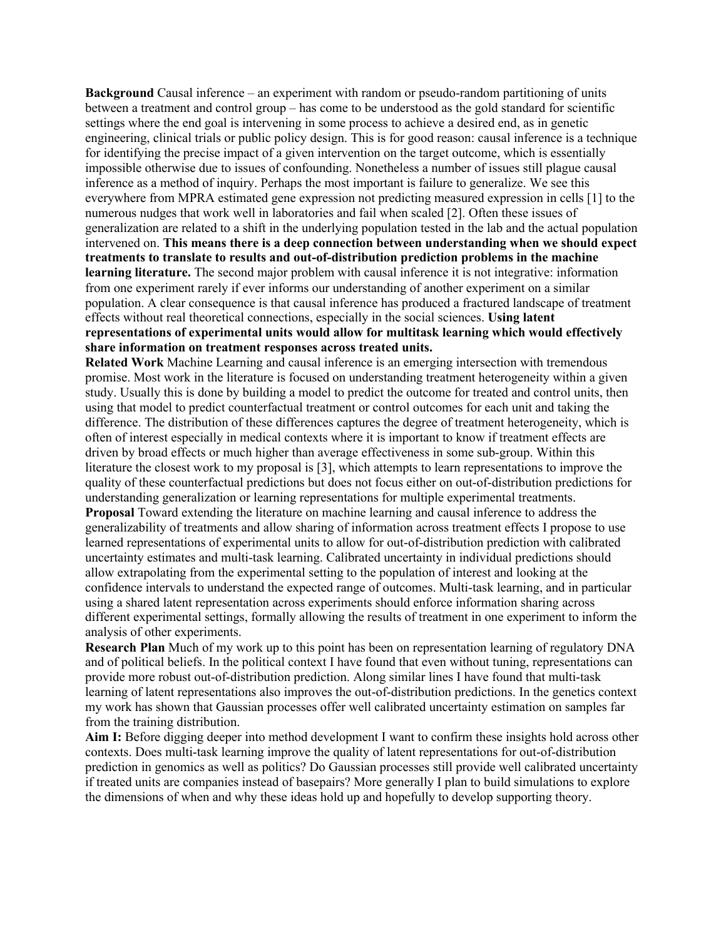**Background** Causal inference – an experiment with random or pseudo-random partitioning of units between a treatment and control group – has come to be understood as the gold standard for scientific settings where the end goal is intervening in some process to achieve a desired end, as in genetic engineering, clinical trials or public policy design. This is for good reason: causal inference is a technique for identifying the precise impact of a given intervention on the target outcome, which is essentially impossible otherwise due to issues of confounding. Nonetheless a number of issues still plague causal inference as a method of inquiry. Perhaps the most important is failure to generalize. We see this everywhere from MPRA estimated gene expression not predicting measured expression in cells [1] to the numerous nudges that work well in laboratories and fail when scaled [2]. Often these issues of generalization are related to a shift in the underlying population tested in the lab and the actual population intervened on. **This means there is a deep connection between understanding when we should expect treatments to translate to results and out-of-distribution prediction problems in the machine learning literature.** The second major problem with causal inference it is not integrative: information from one experiment rarely if ever informs our understanding of another experiment on a similar population. A clear consequence is that causal inference has produced a fractured landscape of treatment effects without real theoretical connections, especially in the social sciences. **Using latent representations of experimental units would allow for multitask learning which would effectively share information on treatment responses across treated units.**

**Related Work** Machine Learning and causal inference is an emerging intersection with tremendous promise. Most work in the literature is focused on understanding treatment heterogeneity within a given study. Usually this is done by building a model to predict the outcome for treated and control units, then using that model to predict counterfactual treatment or control outcomes for each unit and taking the difference. The distribution of these differences captures the degree of treatment heterogeneity, which is often of interest especially in medical contexts where it is important to know if treatment effects are driven by broad effects or much higher than average effectiveness in some sub-group. Within this literature the closest work to my proposal is [3], which attempts to learn representations to improve the quality of these counterfactual predictions but does not focus either on out-of-distribution predictions for understanding generalization or learning representations for multiple experimental treatments. **Proposal** Toward extending the literature on machine learning and causal inference to address the generalizability of treatments and allow sharing of information across treatment effects I propose to use learned representations of experimental units to allow for out-of-distribution prediction with calibrated uncertainty estimates and multi-task learning. Calibrated uncertainty in individual predictions should allow extrapolating from the experimental setting to the population of interest and looking at the confidence intervals to understand the expected range of outcomes. Multi-task learning, and in particular using a shared latent representation across experiments should enforce information sharing across different experimental settings, formally allowing the results of treatment in one experiment to inform the analysis of other experiments.

**Research Plan** Much of my work up to this point has been on representation learning of regulatory DNA and of political beliefs. In the political context I have found that even without tuning, representations can provide more robust out-of-distribution prediction. Along similar lines I have found that multi-task learning of latent representations also improves the out-of-distribution predictions. In the genetics context my work has shown that Gaussian processes offer well calibrated uncertainty estimation on samples far from the training distribution.

**Aim I:** Before digging deeper into method development I want to confirm these insights hold across other contexts. Does multi-task learning improve the quality of latent representations for out-of-distribution prediction in genomics as well as politics? Do Gaussian processes still provide well calibrated uncertainty if treated units are companies instead of basepairs? More generally I plan to build simulations to explore the dimensions of when and why these ideas hold up and hopefully to develop supporting theory.